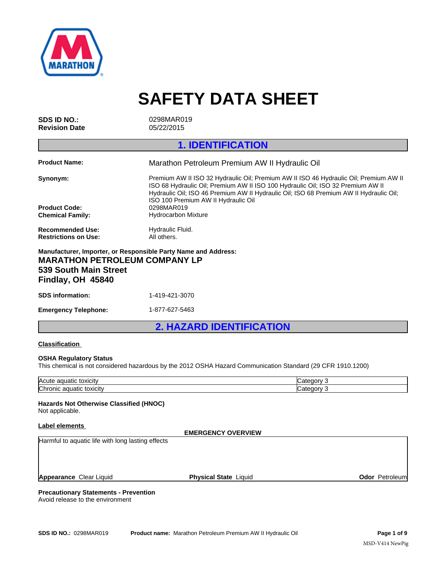

|                                                                                    | <b>SAFETY DATA SHEET</b>                                                                                                                                                                                                                                                                                                                              |
|------------------------------------------------------------------------------------|-------------------------------------------------------------------------------------------------------------------------------------------------------------------------------------------------------------------------------------------------------------------------------------------------------------------------------------------------------|
| <b>SDS ID NO.:</b><br><b>Revision Date</b>                                         | 0298MAR019<br>05/22/2015                                                                                                                                                                                                                                                                                                                              |
|                                                                                    | <b>1. IDENTIFICATION</b>                                                                                                                                                                                                                                                                                                                              |
| <b>Product Name:</b>                                                               | Marathon Petroleum Premium AW II Hydraulic Oil                                                                                                                                                                                                                                                                                                        |
| Synonym:<br><b>Product Code:</b><br><b>Chemical Family:</b>                        | Premium AW II ISO 32 Hydraulic Oil; Premium AW II ISO 46 Hydraulic Oil; Premium AW II<br>ISO 68 Hydraulic Oil; Premium AW II ISO 100 Hydraulic Oil; ISO 32 Premium AW II<br>Hydraulic Oil; ISO 46 Premium AW II Hydraulic Oil; ISO 68 Premium AW II Hydraulic Oil;<br>ISO 100 Premium AW II Hydraulic Oil<br>0298MAR019<br><b>Hydrocarbon Mixture</b> |
| <b>Recommended Use:</b><br><b>Restrictions on Use:</b>                             | Hydraulic Fluid.<br>All others.                                                                                                                                                                                                                                                                                                                       |
| <b>MARATHON PETROLEUM COMPANY LP</b><br>539 South Main Street<br>Findlay, OH 45840 | Manufacturer, Importer, or Responsible Party Name and Address:                                                                                                                                                                                                                                                                                        |
| <b>SDS</b> information:                                                            | 1-419-421-3070                                                                                                                                                                                                                                                                                                                                        |
| <b>Emergency Telephone:</b>                                                        | 1-877-627-5463                                                                                                                                                                                                                                                                                                                                        |
|                                                                                    | <b>2. HAZARD IDENTIFICATION</b>                                                                                                                                                                                                                                                                                                                       |
| <b>Classification</b>                                                              |                                                                                                                                                                                                                                                                                                                                                       |
| <b>OSHA Regulatory Status</b>                                                      | This chemical is not considered hazardous by the 2012 OSHA Hazard Communication Standard (29 CFR 1910.1200)                                                                                                                                                                                                                                           |

# **539 South Main Street Findlay, OH 45840**

| <b>SDS</b> information: | 1-419-421-3070 |
|-------------------------|----------------|

# **Classification**

# **OSHA Regulatory Status**

This chemical is not considered hazardous by the 2012 OSHA Hazard Communication Standard (29 CFR 1910.1200)

| Acute<br>toxicity<br>aguatu             | ערנ   |
|-----------------------------------------|-------|
| <b>Chr</b><br>toxicity<br>uatio<br>onic | עזרור |

# **Hazards Not Otherwise Classified (HNOC)**

Not applicable.

# **Label elements**

**EMERGENCY OVERVIEW** Harmful to aquatic life with long lasting effects

**Appearance Clear Liquid <b>Physical State** Liquid

**Odor** Petroleum

# **Precautionary Statements - Prevention**

Avoid release to the environment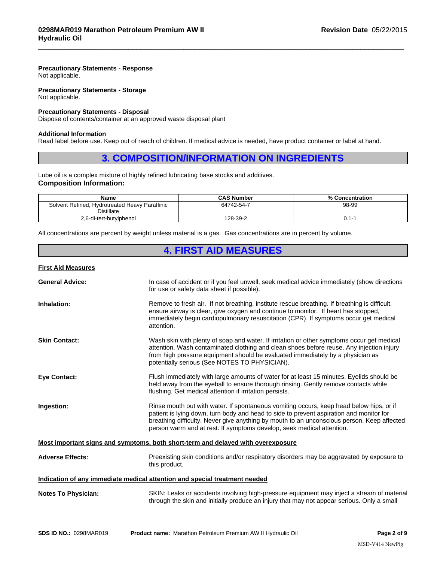# **Precautionary Statements - Response**

Not applicable.

# **Precautionary Statements - Storage** Not applicable.

# **Precautionary Statements - Disposal**

# **Additional Information**

# **3. COMPOSITION/INFORMATION ON INGREDIENTS**<br> **3. COMPOSITION/INFORMATION ON INGREDIENTS**<br> **3. COMPOSITION/INFORMATION ON INGREDIENTS**<br> **3. COMPOSITION/INFORMATION ON INGREDIENTS**<br> **EXECUTE AND ADDITION ON INGREDIENTS**<br> **AD**

 $\_$  ,  $\_$  ,  $\_$  ,  $\_$  ,  $\_$  ,  $\_$  ,  $\_$  ,  $\_$  ,  $\_$  ,  $\_$  ,  $\_$  ,  $\_$  ,  $\_$  ,  $\_$  ,  $\_$  ,  $\_$  ,  $\_$  ,  $\_$  ,  $\_$  ,  $\_$  ,  $\_$  ,  $\_$  ,  $\_$  ,  $\_$  ,  $\_$  ,  $\_$  ,  $\_$  ,  $\_$  ,  $\_$  ,  $\_$  ,  $\_$  ,  $\_$  ,  $\_$  ,  $\_$  ,  $\_$  ,  $\_$  ,  $\_$  ,

# **Composition Information:**

| Not applicable.                                                                                                           |                                                                                                                                                 |                                                                                             |
|---------------------------------------------------------------------------------------------------------------------------|-------------------------------------------------------------------------------------------------------------------------------------------------|---------------------------------------------------------------------------------------------|
| <b>Precautionary Statements - Disposal</b><br>Dispose of contents/container at an approved waste disposal plant           |                                                                                                                                                 |                                                                                             |
| <b>Additional Information</b>                                                                                             | Read label before use. Keep out of reach of children. If medical advice is needed, have product container or label at hand.                     |                                                                                             |
|                                                                                                                           | <b>3. COMPOSITION/INFORMATION ON INGREDIENTS</b>                                                                                                |                                                                                             |
| Lube oil is a complex mixture of highly refined lubricating base stocks and additives.<br><b>Composition Information:</b> |                                                                                                                                                 |                                                                                             |
| Name                                                                                                                      | <b>CAS Number</b>                                                                                                                               | % Concentration                                                                             |
| Solvent Refined, Hydrotreated Heavy Paraffinic<br><b>Distillate</b>                                                       | 64742-54-7                                                                                                                                      | 98-99                                                                                       |
| 2,6-di-tert-butylphenol                                                                                                   | 128-39-2                                                                                                                                        | $0.1 - 1$                                                                                   |
|                                                                                                                           | All concentrations are percent by weight unless material is a gas. Gas concentrations are in percent by volume.<br><b>4. FIRST AID MEASURES</b> |                                                                                             |
| <b>First Aid Measures</b>                                                                                                 |                                                                                                                                                 |                                                                                             |
| <b>General Advice:</b>                                                                                                    | for use or safety data sheet if possible).                                                                                                      | In case of accident or if you feel unwell, seek medical advice immediately (show directions |

# **First Aid Measures**

| <b>General Advice:</b>     | In case of accident or if you feel unwell, seek medical advice immediately (show directions<br>for use or safety data sheet if possible).                                                                                                                                                                                                                 |
|----------------------------|-----------------------------------------------------------------------------------------------------------------------------------------------------------------------------------------------------------------------------------------------------------------------------------------------------------------------------------------------------------|
| Inhalation:                | Remove to fresh air. If not breathing, institute rescue breathing. If breathing is difficult,<br>ensure airway is clear, give oxygen and continue to monitor. If heart has stopped,<br>immediately begin cardiopulmonary resuscitation (CPR). If symptoms occur get medical<br>attention.                                                                 |
| <b>Skin Contact:</b>       | Wash skin with plenty of soap and water. If irritation or other symptoms occur get medical<br>attention. Wash contaminated clothing and clean shoes before reuse. Any injection injury<br>from high pressure equipment should be evaluated immediately by a physician as<br>potentially serious (See NOTES TO PHYSICIAN).                                 |
| <b>Eve Contact:</b>        | Flush immediately with large amounts of water for at least 15 minutes. Eyelids should be<br>held away from the eyeball to ensure thorough rinsing. Gently remove contacts while<br>flushing. Get medical attention if irritation persists.                                                                                                                |
| Ingestion:                 | Rinse mouth out with water. If spontaneous vomiting occurs, keep head below hips, or if<br>patient is lying down, turn body and head to side to prevent aspiration and monitor for<br>breathing difficulty. Never give anything by mouth to an unconscious person. Keep affected<br>person warm and at rest. If symptoms develop, seek medical attention. |
|                            | Most important signs and symptoms, both short-term and delayed with overexposure                                                                                                                                                                                                                                                                          |
| <b>Adverse Effects:</b>    | Preexisting skin conditions and/or respiratory disorders may be aggravated by exposure to<br>this product.                                                                                                                                                                                                                                                |
|                            | Indication of any immediate medical attention and special treatment needed                                                                                                                                                                                                                                                                                |
| <b>Notes To Physician:</b> | SKIN: Leaks or accidents involving high-pressure equipment may inject a stream of material<br>through the skin and initially produce an injury that may not appear serious. Only a small                                                                                                                                                                  |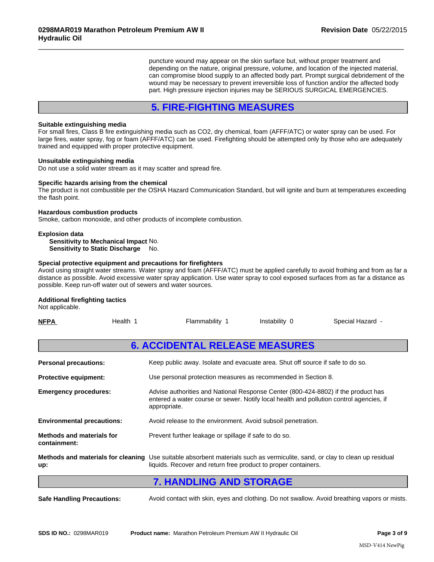puncture wound may appear on the skin surface but, without proper treatment and depending on the nature, original pressure, volume, and location of the injected material, can compromise blood supply to an affected body part. Prompt surgical debridement of the wound may be necessary to prevent irreversible loss of function and/or the affected body part. High pressure injection injuries may be SERIOUS SURGICAL EMERGENCIES. **Fremium AW II**<br> **Example 10**<br> **Example 10**<br> **Example 10**<br> **Example 10**<br> **Example 10**<br> **Example 10**<br> **SECURE 10**<br> **EXAMPLE MEASURES**<br> **S. FIRE-FIGHTING MEASURES**<br> **S. FIRE-FIGHTING MEASURES**<br> **S. FIRE-FIGHTING MEASURES**<br>

 $\_$  ,  $\_$  ,  $\_$  ,  $\_$  ,  $\_$  ,  $\_$  ,  $\_$  ,  $\_$  ,  $\_$  ,  $\_$  ,  $\_$  ,  $\_$  ,  $\_$  ,  $\_$  ,  $\_$  ,  $\_$  ,  $\_$  ,  $\_$  ,  $\_$  ,  $\_$  ,  $\_$  ,  $\_$  ,  $\_$  ,  $\_$  ,  $\_$  ,  $\_$  ,  $\_$  ,  $\_$  ,  $\_$  ,  $\_$  ,  $\_$  ,  $\_$  ,  $\_$  ,  $\_$  ,  $\_$  ,  $\_$  ,  $\_$  ,

# **Suitable extinguishing media**

For small fires, Class B fire extinguishing media such as CO2, dry chemical, foam (AFFF/ATC) or water spray can be used. For large fires, water spray, fog or foam (AFFF/ATC) can be used. Firefighting should be attempted only by those who are adequately trained and equipped with proper protective equipment.

# **Unsuitable extinguishing media**

Do not use a solid water stream as it may scatter and spread fire.

# **Specific hazards arising from the chemical**

The product is not combustible per the OSHA Hazard Communication Standard, but will ignite and burn at temperatures exceeding the flash point.

# **Hazardous combustion products**

# **Explosion data**

# **Special protective equipment and precautions for firefighters**

# **Additional firefighting tactics**

| the flash point.                                                                                                               | The product is not combustible per the OSHA Hazard Communication Standard, but will ignite and burn at temperatures exceeding                                                                                                                                          |
|--------------------------------------------------------------------------------------------------------------------------------|------------------------------------------------------------------------------------------------------------------------------------------------------------------------------------------------------------------------------------------------------------------------|
| <b>Hazardous combustion products</b><br>Smoke, carbon monoxide, and other products of incomplete combustion.                   |                                                                                                                                                                                                                                                                        |
| <b>Explosion data</b><br>Sensitivity to Mechanical Impact No.<br>Sensitivity to Static Discharge No.                           |                                                                                                                                                                                                                                                                        |
| Special protective equipment and precautions for firefighters<br>possible. Keep run-off water out of sewers and water sources. | Avoid using straight water streams. Water spray and foam (AFFF/ATC) must be applied carefully to avoid frothing and from as far a<br>distance as possible. Avoid excessive water spray application. Use water spray to cool exposed surfaces from as far a distance as |
| <b>Additional firefighting tactics</b><br>Not applicable.                                                                      |                                                                                                                                                                                                                                                                        |
| Health 1<br><b>NFPA</b>                                                                                                        | Flammability 1<br>Instability 0<br>Special Hazard -                                                                                                                                                                                                                    |
|                                                                                                                                | <b>6. ACCIDENTAL RELEASE MEASURES</b>                                                                                                                                                                                                                                  |
| <b>Personal precautions:</b>                                                                                                   | Keep public away. Isolate and evacuate area. Shut off source if safe to do so.                                                                                                                                                                                         |
| <b>Protective equipment:</b>                                                                                                   | Use personal protection measures as recommended in Section 8.                                                                                                                                                                                                          |
| <b>Emergency procedures:</b>                                                                                                   | Advise authorities and National Response Center (800-424-8802) if the product has<br>entered a water course or sewer. Notify local health and pollution control agencies, if<br>appropriate.                                                                           |
| <b>Environmental precautions:</b>                                                                                              | Avoid release to the environment. Avoid subsoil penetration.                                                                                                                                                                                                           |
| <b>Methods and materials for</b><br>containment:                                                                               | Prevent further leakage or spillage if safe to do so.                                                                                                                                                                                                                  |
| up:                                                                                                                            | Methods and materials for cleaning Use suitable absorbent materials such as vermiculite, sand, or clay to clean up residual<br>liquids. Recover and return free product to proper containers.                                                                          |
|                                                                                                                                | <b>7. HANDLING AND STORAGE</b>                                                                                                                                                                                                                                         |
| <b>Safe Handling Precautions:</b>                                                                                              | Avoid contact with skin, eyes and clothing. Do not swallow. Avoid breathing vapors or mists.                                                                                                                                                                           |
|                                                                                                                                |                                                                                                                                                                                                                                                                        |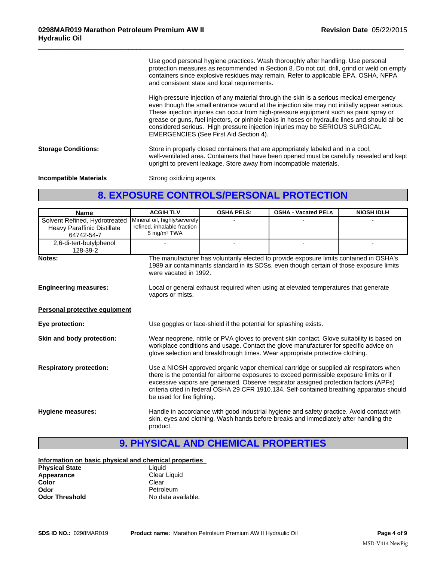Use good personal hygiene practices. Wash thoroughly after handling. Use personal protection measures as recommended in Section 8. Do not cut, drill, grind or weld on empty containers since explosive residues may remain. Refer to applicable EPA, OSHA, NFPA and consistent state and local requirements.

 $\_$  ,  $\_$  ,  $\_$  ,  $\_$  ,  $\_$  ,  $\_$  ,  $\_$  ,  $\_$  ,  $\_$  ,  $\_$  ,  $\_$  ,  $\_$  ,  $\_$  ,  $\_$  ,  $\_$  ,  $\_$  ,  $\_$  ,  $\_$  ,  $\_$  ,  $\_$  ,  $\_$  ,  $\_$  ,  $\_$  ,  $\_$  ,  $\_$  ,  $\_$  ,  $\_$  ,  $\_$  ,  $\_$  ,  $\_$  ,  $\_$  ,  $\_$  ,  $\_$  ,  $\_$  ,  $\_$  ,  $\_$  ,  $\_$  ,

High-pressure injection of any material through the skin is a serious medical emergency even though the small entrance wound at the injection site may not initially appear serious. These injection injuries can occur from high-pressure equipment such as paint spray or grease or guns, fuel injectors, or pinhole leaks in hoses or hydraulic lines and should all be considered serious. High pressure injection injuries may be SERIOUS SURGICAL EMERGENCIES (See First Aid Section 4). Use good personal hygiene practices. Wash thoroughly after handling. Use personal<br>protection measures as recommended in Section 3. Do not cut, drill, grind or weld on empty<br>containers since explosive residues may remain. R

**Storage Conditions:** Store in properly closed containers that are appropriately labeled and in a cool, well-ventilated area. Containers that have been opened must be carefully resealed and kept upright to prevent leakage. Store away from incompatible materials.

**Incompatible Materials** Strong oxidizing agents.

| <b>Name</b>                                                                | <b>ACGIH TLV</b>                                                                       | <b>OSHA PELS:</b>                                                                                                                                                                                                                                                                                                                                                                                       | <b>OSHA - Vacated PELs</b>                                                                                                                                                                                                                                            | <b>NIOSH IDLH</b> |
|----------------------------------------------------------------------------|----------------------------------------------------------------------------------------|---------------------------------------------------------------------------------------------------------------------------------------------------------------------------------------------------------------------------------------------------------------------------------------------------------------------------------------------------------------------------------------------------------|-----------------------------------------------------------------------------------------------------------------------------------------------------------------------------------------------------------------------------------------------------------------------|-------------------|
| Solvent Refined, Hydrotreated<br>Heavy Paraffinic Distillate<br>64742-54-7 | Mineral oil, highly/severely<br>refined, inhalable fraction<br>5 mg/m <sup>3</sup> TWA |                                                                                                                                                                                                                                                                                                                                                                                                         |                                                                                                                                                                                                                                                                       |                   |
| 2,6-di-tert-butylphenol<br>128-39-2                                        |                                                                                        | $\sim$                                                                                                                                                                                                                                                                                                                                                                                                  |                                                                                                                                                                                                                                                                       |                   |
| Notes:                                                                     |                                                                                        | The manufacturer has voluntarily elected to provide exposure limits contained in OSHA's<br>1989 air contaminants standard in its SDSs, even though certain of those exposure limits<br>were vacated in 1992.                                                                                                                                                                                            |                                                                                                                                                                                                                                                                       |                   |
| <b>Engineering measures:</b>                                               | vapors or mists.                                                                       |                                                                                                                                                                                                                                                                                                                                                                                                         | Local or general exhaust required when using at elevated temperatures that generate                                                                                                                                                                                   |                   |
| <b>Personal protective equipment</b>                                       |                                                                                        |                                                                                                                                                                                                                                                                                                                                                                                                         |                                                                                                                                                                                                                                                                       |                   |
| Eye protection:                                                            |                                                                                        | Use goggles or face-shield if the potential for splashing exists.                                                                                                                                                                                                                                                                                                                                       |                                                                                                                                                                                                                                                                       |                   |
| Skin and body protection:                                                  |                                                                                        |                                                                                                                                                                                                                                                                                                                                                                                                         | Wear neoprene, nitrile or PVA gloves to prevent skin contact. Glove suitability is based on<br>workplace conditions and usage. Contact the glove manufacturer for specific advice on<br>glove selection and breakthrough times. Wear appropriate protective clothing. |                   |
| <b>Respiratory protection:</b>                                             |                                                                                        | Use a NIOSH approved organic vapor chemical cartridge or supplied air respirators when<br>there is the potential for airborne exposures to exceed permissible exposure limits or if<br>excessive vapors are generated. Observe respirator assigned protection factors (APFs)<br>criteria cited in federal OSHA 29 CFR 1910.134. Self-contained breathing apparatus should<br>be used for fire fighting. |                                                                                                                                                                                                                                                                       |                   |
| <b>Hygiene measures:</b>                                                   | product.                                                                               |                                                                                                                                                                                                                                                                                                                                                                                                         | Handle in accordance with good industrial hygiene and safety practice. Avoid contact with<br>skin, eyes and clothing. Wash hands before breaks and immediately after handling the                                                                                     |                   |
|                                                                            | <b>9. PHYSICAL AND CHEMICAL PROPERTIES</b>                                             |                                                                                                                                                                                                                                                                                                                                                                                                         |                                                                                                                                                                                                                                                                       |                   |
| Information on basic physical and chemical properties                      |                                                                                        |                                                                                                                                                                                                                                                                                                                                                                                                         |                                                                                                                                                                                                                                                                       |                   |
| <b>Physical State</b>                                                      | Liquid                                                                                 |                                                                                                                                                                                                                                                                                                                                                                                                         |                                                                                                                                                                                                                                                                       |                   |
| Appearance                                                                 | Clear Liquid                                                                           |                                                                                                                                                                                                                                                                                                                                                                                                         |                                                                                                                                                                                                                                                                       |                   |
| Color                                                                      | Clear                                                                                  |                                                                                                                                                                                                                                                                                                                                                                                                         |                                                                                                                                                                                                                                                                       |                   |

|  | Information on basic physical and chemical properties |  |
|--|-------------------------------------------------------|--|
|--|-------------------------------------------------------|--|

| <b>Physical State</b> | Liguid             |  |
|-----------------------|--------------------|--|
| Appearance            | Clear Liquid       |  |
| Color                 | Clear              |  |
| Odor                  | Petroleum          |  |
| <b>Odor Threshold</b> | No data available. |  |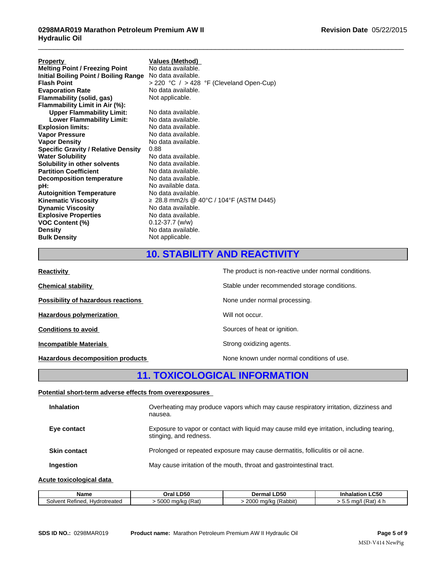| <b>Property</b>                            | <b>Values (Method)</b>                               |
|--------------------------------------------|------------------------------------------------------|
| <b>Melting Point / Freezing Point</b>      | No data available.                                   |
| Initial Boiling Point / Boiling Range      | No data available.                                   |
| <b>Flash Point</b>                         | > 220 °C / > 428 °F (Cleveland Open-Cup)             |
| <b>Evaporation Rate</b>                    | No data available.                                   |
| Flammability (solid, gas)                  | Not applicable.                                      |
| Flammability Limit in Air (%):             |                                                      |
| <b>Upper Flammability Limit:</b>           | No data available.                                   |
| <b>Lower Flammability Limit:</b>           | No data available.                                   |
| <b>Explosion limits:</b>                   | No data available.                                   |
| <b>Vapor Pressure</b>                      | No data available.                                   |
| <b>Vapor Density</b>                       | No data available.                                   |
| <b>Specific Gravity / Relative Density</b> | 0.88                                                 |
| <b>Water Solubility</b>                    | No data available.                                   |
| Solubility in other solvents               | No data available.                                   |
| <b>Partition Coefficient</b>               | No data available.                                   |
| <b>Decomposition temperature</b>           | No data available.                                   |
| pH:                                        | No available data.                                   |
| <b>Autoignition Temperature</b>            | No data available.                                   |
| Kinematic Viscosity                        | ≥ 28.8 mm2/s @ 40°C / 104°F (ASTM D445)              |
| <b>Dynamic Viscosity</b>                   | No data available.                                   |
| <b>Explosive Properties</b>                | No data available.                                   |
| VOC Content (%)                            | $0.12 - 37.7$ (w/w)                                  |
| Density                                    | No data available.                                   |
| <b>Bulk Density</b>                        | Not applicable.                                      |
|                                            |                                                      |
|                                            | <b>10. STABILITY AND REACTIVITY</b>                  |
| Reactivity                                 | The product is non-reactive under normal conditions. |
| Chemical stability                         | Stable under recommended storage conditions.         |
|                                            |                                                      |

 $\_$  ,  $\_$  ,  $\_$  ,  $\_$  ,  $\_$  ,  $\_$  ,  $\_$  ,  $\_$  ,  $\_$  ,  $\_$  ,  $\_$  ,  $\_$  ,  $\_$  ,  $\_$  ,  $\_$  ,  $\_$  ,  $\_$  ,  $\_$  ,  $\_$  ,  $\_$  ,  $\_$  ,  $\_$  ,  $\_$  ,  $\_$  ,  $\_$  ,  $\_$  ,  $\_$  ,  $\_$  ,  $\_$  ,  $\_$  ,  $\_$  ,  $\_$  ,  $\_$  ,  $\_$  ,  $\_$  ,  $\_$  ,  $\_$  ,

| VOC Content (%)<br><b>Density</b><br><b>Bulk Density</b> | $0.12 - 37.7$ (w/w)<br>No data available.<br>Not applicable.                                    |
|----------------------------------------------------------|-------------------------------------------------------------------------------------------------|
|                                                          | <b>10. STABILITY AND REACTIVITY</b>                                                             |
| <b>Reactivity</b>                                        | The product is non-reactive under normal conditions.                                            |
| <b>Chemical stability</b>                                | Stable under recommended storage conditions.                                                    |
| Possibility of hazardous reactions                       | None under normal processing.                                                                   |
| <b>Hazardous polymerization</b>                          | Will not occur.                                                                                 |
| <b>Conditions to avoid</b>                               | Sources of heat or ignition.                                                                    |
| <b>Incompatible Materials</b>                            | Strong oxidizing agents.                                                                        |
| <b>Hazardous decomposition products</b>                  | None known under normal conditions of use.                                                      |
|                                                          | <b>11. TOXICOLOGICAL INFORMATION</b>                                                            |
| Potential short-term adverse effects from overexposures  |                                                                                                 |
| <b>Inhalation</b>                                        | Overheating may produce vapors which may cause respiratory irritation, dizziness and<br>nausea. |

# **Potential short-term adverse effects from overexposures**

| <b>Inhalation</b>   | Overheating may produce vapors which may cause respiratory irritation, dizziness and<br>nausea.                      |
|---------------------|----------------------------------------------------------------------------------------------------------------------|
| Eye contact         | Exposure to vapor or contact with liquid may cause mild eye irritation, including tearing,<br>stinging, and redness. |
| <b>Skin contact</b> | Prolonged or repeated exposure may cause dermatitis, folliculitis or oil acne.                                       |
| Ingestion           | May cause irritation of the mouth, throat and gastrointestinal tract.                                                |
|                     |                                                                                                                      |

# **Acute toxicological data**

| Name                                    | <b>LD50</b>         | LD50                                                                          | LC50                                                    |
|-----------------------------------------|---------------------|-------------------------------------------------------------------------------|---------------------------------------------------------|
|                                         | Oral .              | Dermal                                                                        | alation                                                 |
| -<br>Refined<br>Hydrotreated<br>solvent | (Rat)<br>5000 ma/ka | $\overline{\phantom{0}}$<br>nnne.<br>Rabbit<br>aalka.<br>zuuu<br>iu/Nu<br>. . | $(D_{\alpha}$<br>ma/<br>n<br>'Ral.<br>$\mathbf{A}$<br>. |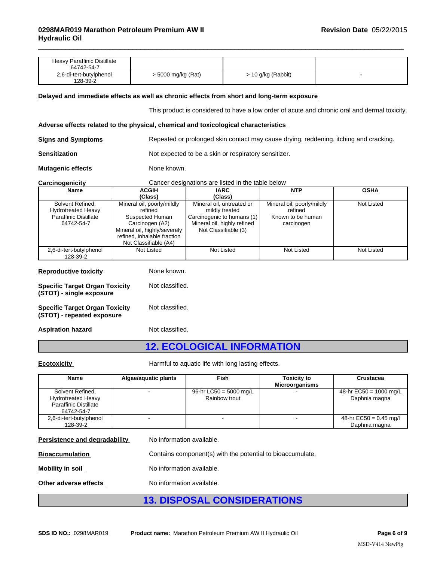| <b>Heavy Paraffinic Distillate</b><br>64742-54-7 |                    |                    |  |
|--------------------------------------------------|--------------------|--------------------|--|
| 2,6-di-tert-butylphenol<br>128-39-2              | > 5000 mg/kg (Rat) | > 10 g/kg (Rabbit) |  |

# **Delayed and immediate effects as well as chronic effects from short and long-term exposure**

This product is considered to have a low order of acute and chronic oral and dermal toxicity.

 $\_$  ,  $\_$  ,  $\_$  ,  $\_$  ,  $\_$  ,  $\_$  ,  $\_$  ,  $\_$  ,  $\_$  ,  $\_$  ,  $\_$  ,  $\_$  ,  $\_$  ,  $\_$  ,  $\_$  ,  $\_$  ,  $\_$  ,  $\_$  ,  $\_$  ,  $\_$  ,  $\_$  ,  $\_$  ,  $\_$  ,  $\_$  ,  $\_$  ,  $\_$  ,  $\_$  ,  $\_$  ,  $\_$  ,  $\_$  ,  $\_$  ,  $\_$  ,  $\_$  ,  $\_$  ,  $\_$  ,  $\_$  ,  $\_$  ,

# **Adverse effects related to the physical, chemical and toxicological characteristics**

| <b>Signs and Symptoms</b><br>Repeated or prolonged skin contact may cause drying, reddening, itching and cracking. |  |
|--------------------------------------------------------------------------------------------------------------------|--|
|--------------------------------------------------------------------------------------------------------------------|--|

**Sensitization** Not expected to be a skin or respiratory sensitizer.

**Mutagenic effects** None known.

# **Carcinogenicity** Cancer designations are listed in the table below

| <b>Name</b>                                                         | <b>ACGIH</b>                          | <b>IARC</b>                                        | <b>NTP</b>                                  | <b>OSHA</b>       |
|---------------------------------------------------------------------|---------------------------------------|----------------------------------------------------|---------------------------------------------|-------------------|
|                                                                     | (Class)                               | (Class)                                            |                                             |                   |
| Solvent Refined.<br><b>Hydrotreated Heavy</b>                       | Mineral oil, poorly/mildly<br>refined | Mineral oil, untreated or<br>mildly treated        | Mineral oil, poorly/mildly<br>refined       | <b>Not Listed</b> |
| <b>Paraffinic Distillate</b>                                        | Suspected Human                       | Carcinogenic to humans (1)                         | Known to be human                           |                   |
| 64742-54-7                                                          | Carcinogen (A2)                       | Mineral oil, highly refined                        | carcinogen                                  |                   |
|                                                                     | Mineral oil, highly/severely          | Not Classifiable (3)                               |                                             |                   |
|                                                                     | refined, inhalable fraction           |                                                    |                                             |                   |
|                                                                     | Not Classifiable (A4)                 |                                                    |                                             |                   |
| 2,6-di-tert-butylphenol                                             | <b>Not Listed</b>                     | <b>Not Listed</b>                                  | Not Listed                                  | <b>Not Listed</b> |
| 128-39-2                                                            |                                       |                                                    |                                             |                   |
| <b>Reproductive toxicity</b>                                        | None known.                           |                                                    |                                             |                   |
| <b>Specific Target Organ Toxicity</b><br>(STOT) - single exposure   | Not classified.                       |                                                    |                                             |                   |
| <b>Specific Target Organ Toxicity</b><br>(STOT) - repeated exposure | Not classified.                       |                                                    |                                             |                   |
| <b>Aspiration hazard</b>                                            | Not classified.                       |                                                    |                                             |                   |
|                                                                     |                                       | <b>12. ECOLOGICAL INFORMATION</b>                  |                                             |                   |
| <b>Ecotoxicity</b>                                                  |                                       | Harmful to aquatic life with long lasting effects. |                                             |                   |
| Name                                                                | Algae/aquatic plants                  | Fish                                               | <b>Toxicity to</b><br><b>Microorganisms</b> | Crustacea         |

| <b>Reproductive toxicity</b>                                        | None known.     |
|---------------------------------------------------------------------|-----------------|
| <b>Specific Target Organ Toxicity</b><br>(STOT) - single exposure   | Not classified. |
| <b>Specific Target Organ Toxicity</b><br>(STOT) - repeated exposure | Not classified. |
| <b>Aspiration hazard</b>                                            | Not classified. |

|                                                                                             |                           | Harmful to aquatic life with long lasting effects.         |                                             |                                           |
|---------------------------------------------------------------------------------------------|---------------------------|------------------------------------------------------------|---------------------------------------------|-------------------------------------------|
| Name                                                                                        | Algae/aquatic plants      | <b>Fish</b>                                                | <b>Toxicity to</b><br><b>Microorganisms</b> | <b>Crustacea</b>                          |
| Solvent Refined,<br><b>Hydrotreated Heavy</b><br><b>Paraffinic Distillate</b><br>64742-54-7 |                           | 96-hr LC50 = 5000 mg/L<br>Rainbow trout                    |                                             | 48-hr $EC50 = 1000$ mg/L<br>Daphnia magna |
| 2,6-di-tert-butylphenol<br>128-39-2                                                         |                           |                                                            |                                             | 48-hr EC50 = 0.45 mg/l<br>Daphnia magna   |
| Persistence and degradability                                                               | No information available. |                                                            |                                             |                                           |
| <b>Bioaccumulation</b>                                                                      |                           | Contains component(s) with the potential to bioaccumulate. |                                             |                                           |
| <b>Mobility in soil</b>                                                                     | No information available. |                                                            |                                             |                                           |
| Other adverse effects                                                                       | No information available. |                                                            |                                             |                                           |
|                                                                                             |                           | <b>13. DISPOSAL CONSIDERATIONS</b>                         |                                             |                                           |
|                                                                                             |                           |                                                            |                                             |                                           |

|                               | <b>12 DISPOSAL CONSIDERATIONS</b>                          |
|-------------------------------|------------------------------------------------------------|
| Other adverse effects         | No information available.                                  |
| Mobility in soil              | No information available.                                  |
| <b>Bioaccumulation</b>        | Contains component(s) with the potential to bioaccumulate. |
| Persistence and degradability | ino information available.                                 |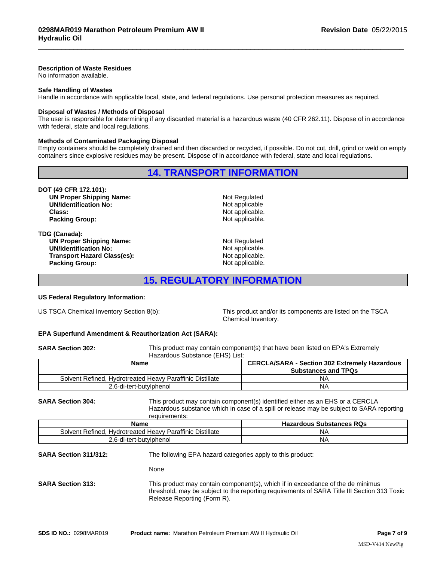# **Description of Waste Residues**

No information available.

# **Safe Handling of Wastes**

Handle in accordance with applicable local, state, and federal regulations. Use personal protection measures as required.

## **Disposal of Wastes / Methods of Disposal**

The user is responsible for determining if any discarded material is a hazardous waste (40 CFR 262.11). Dispose of in accordance with federal, state and local regulations. **14. TRANSPORT INFORMATION**<br>
Notate and protection the assume as required.<br>
14. TRANSPORT INFORMATION<br>
Notational and then discarded or recycled, if possible. Do not cut, drill, grind or weld on empty<br>
14. TRANSPORT INFORM

# **Methods of Contaminated Packaging Disposal**

Empty containers should be completely drained and then discarded or recycled, if possible. Do not cut, drill, grind or weld on empty containers since explosive residues may be present. Dispose of in accordance with federal, state and local regulations. ns.<br>
19. Disposal<br>
19. Marined and then discarded or recycled, if possible. Do not cut, drill, grind or weld on empty<br>
14. TRANSPORT INFORMATION<br>
14. TRANSPORT INFORMATION<br>
Not applicable.<br>
Not applicable.<br>
Not applicable.

**DOT (49 CFR 172.101): UN Proper Shipping Name:** Not Regulated<br> **UN/Identification No:** Not applicable **UN/Identification No: Class:** Not applicable. **Packing Group:** Not applicable.

**TDG (Canada): UN Proper Shipping Name:** Not Regulated **UN/Identification No:** Not applicable. **Transport Hazard Class(es):** Not applicable.<br> **Packing Group:** Not applicable. **Packing Group:** 

 $\_$  ,  $\_$  ,  $\_$  ,  $\_$  ,  $\_$  ,  $\_$  ,  $\_$  ,  $\_$  ,  $\_$  ,  $\_$  ,  $\_$  ,  $\_$  ,  $\_$  ,  $\_$  ,  $\_$  ,  $\_$  ,  $\_$  ,  $\_$  ,  $\_$  ,  $\_$  ,  $\_$  ,  $\_$  ,  $\_$  ,  $\_$  ,  $\_$  ,  $\_$  ,  $\_$  ,  $\_$  ,  $\_$  ,  $\_$  ,  $\_$  ,  $\_$  ,  $\_$  ,  $\_$  ,  $\_$  ,  $\_$  ,  $\_$  ,

# **US Federal Regulatory Information:**

US TSCA Chemical Inventory Section 8(b): This product and/or its components are listed on the TSCA Chemical Inventory.

# **EPA Superfund Amendment & Reauthorization Act (SARA):**

**SARA Section 302:** This product may contain component(s) that have been listed on EPA's Extremely Hazardous Substance (EHS) List:

| Name |                                                           | <b>CERCLA/SARA - Section 302 Extremely Hazardous</b> |
|------|-----------------------------------------------------------|------------------------------------------------------|
|      |                                                           | <b>Substances and TPQs</b>                           |
|      | Solvent Refined. Hydrotreated Heavy Paraffinic Distillate | NΑ                                                   |
|      | 2,6-di-tert-butylphenol                                   | NΑ                                                   |

**SARA Section 304:** This product may contain component(s) identified either as an EHS or a CERCLA Hazardous substance which in case of a spill or release may be subject to SARA reporting requirements:

| Name                                                                                             | <b>Substances RQs</b><br>.Hazardous |  |
|--------------------------------------------------------------------------------------------------|-------------------------------------|--|
| <b>Distillate</b><br>$\sim$ $\sim$<br>Solvent<br>Parattinic<br>Hydrotreated<br>Refinea.<br>Heavv | NΑ                                  |  |
| հ-Կ<br>tviphenol<br>ำ -tert-bu.                                                                  | NΑ                                  |  |

**SARA Section 311/312:** The following EPA hazard categories apply to this product:

None

**SARA Section 313:** This product may contain component(s), which if in exceedance of the de minimus threshold, may be subject to the reporting requirements of SARA Title III Section 313 Toxic Release Reporting (Form R).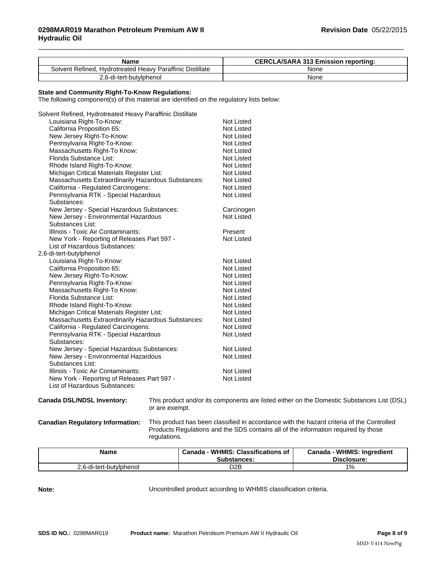| Name                                                      | <b>CERCLA/SARA 313 Emission reporting:</b> |
|-----------------------------------------------------------|--------------------------------------------|
| Solvent Refined, Hydrotreated Heavy Paraffinic Distillate | None                                       |
| 2.6-di-tert-butylphenol                                   | None                                       |

 $\_$  ,  $\_$  ,  $\_$  ,  $\_$  ,  $\_$  ,  $\_$  ,  $\_$  ,  $\_$  ,  $\_$  ,  $\_$  ,  $\_$  ,  $\_$  ,  $\_$  ,  $\_$  ,  $\_$  ,  $\_$  ,  $\_$  ,  $\_$  ,  $\_$  ,  $\_$  ,  $\_$  ,  $\_$  ,  $\_$  ,  $\_$  ,  $\_$  ,  $\_$  ,  $\_$  ,  $\_$  ,  $\_$  ,  $\_$  ,  $\_$  ,  $\_$  ,  $\_$  ,  $\_$  ,  $\_$  ,  $\_$  ,  $\_$  ,

# **State and Community Right-To-Know Regulations:**

The following component(s) of this material are identified on the regulatory lists below:

| Solvent Refined, Hydrotreated Heavy Paraffinic Distillate |                   |
|-----------------------------------------------------------|-------------------|
| Louisiana Right-To-Know:                                  | Not Listed        |
| California Proposition 65:                                | Not Listed        |
| New Jersey Right-To-Know:                                 | Not Listed        |
| Pennsylvania Right-To-Know:                               | Not Listed        |
| Massachusetts Right-To Know:                              | <b>Not Listed</b> |
| Florida Substance List:                                   | <b>Not Listed</b> |
| Rhode Island Right-To-Know:                               | Not Listed        |
| Michigan Critical Materials Register List:                | Not Listed        |
| Massachusetts Extraordinarily Hazardous Substances:       | Not Listed        |
| California - Regulated Carcinogens:                       | Not Listed        |
| Pennsylvania RTK - Special Hazardous                      | Not Listed        |
| Substances:                                               |                   |
| New Jersey - Special Hazardous Substances:                | Carcinogen        |
| New Jersey - Environmental Hazardous                      | <b>Not Listed</b> |
| Substances List:                                          |                   |
| Illinois - Toxic Air Contaminants:                        | Present           |
| New York - Reporting of Releases Part 597 -               | <b>Not Listed</b> |
| List of Hazardous Substances:                             |                   |
| 2,6-di-tert-butylphenol                                   |                   |
| Louisiana Right-To-Know:                                  | <b>Not Listed</b> |
| California Proposition 65:                                | Not Listed        |
| New Jersey Right-To-Know:                                 | Not Listed        |
| Pennsylvania Right-To-Know:                               | <b>Not Listed</b> |
| Massachusetts Right-To Know:                              | Not Listed        |
| Florida Substance List:                                   | <b>Not Listed</b> |
| Rhode Island Right-To-Know:                               | <b>Not Listed</b> |
| Michigan Critical Materials Register List:                | <b>Not Listed</b> |
| Massachusetts Extraordinarily Hazardous Substances:       | <b>Not Listed</b> |
| California - Regulated Carcinogens:                       | Not Listed        |
| Pennsylvania RTK - Special Hazardous                      | <b>Not Listed</b> |
| Substances:                                               |                   |
| New Jersey - Special Hazardous Substances:                | Not Listed        |
| New Jersey - Environmental Hazardous                      | <b>Not Listed</b> |
| Substances List:                                          |                   |
| Illinois - Toxic Air Contaminants:                        | <b>Not Listed</b> |
| New York - Reporting of Releases Part 597 -               | <b>Not Listed</b> |
| List of Hazardous Substances:                             |                   |

**Canada DSL/NDSL Inventory:** This product and/or its components are listed either on the Domestic Substances List (DSL) or are exempt.

**Canadian Regulatory Information:** This product has been classified in accordance with the hazard criteria of the Controlled

Products Regulations and the SDS contains all of the information required by those regulations.

| Name                   | : Classifications of<br>WHMIS:<br>Canada<br><b>Substances:</b> | <b>WHMIS: Ingredient</b><br>Canada<br>Disclosure: |
|------------------------|----------------------------------------------------------------|---------------------------------------------------|
| .6-di-tert-butvlphenol | D <sub>2</sub> B                                               | $\frac{10}{6}$                                    |

**Note:** Uncontrolled product according to WHMIS classification criteria.